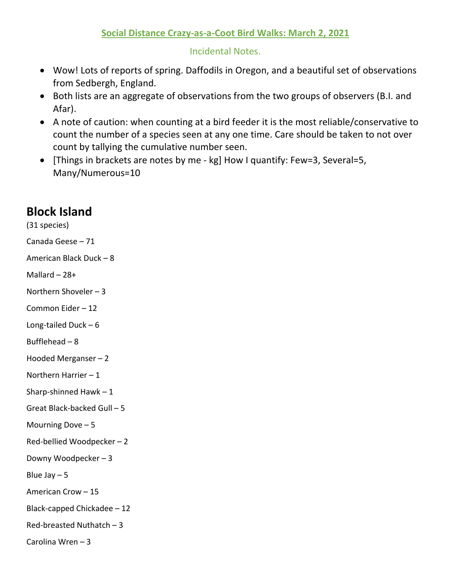## **Social Distance Crazy-as-a-Coot Bird Walks: March 2, 2021**

## Incidental Notes.

- Wow! Lots of reports of spring. Daffodils in Oregon, and a beautiful set of observations from Sedbergh, England.
- Both lists are an aggregate of observations from the two groups of observers (B.I. and Afar).
- A note of caution: when counting at a bird feeder it is the most reliable/conservative to count the number of a species seen at any one time. Care should be taken to not over count by tallying the cumulative number seen.
- [Things in brackets are notes by me kg] How I quantify: Few=3, Several=5, Many/Numerous=10

## **Block Island**

(31 species) Canada Geese – 71 American Black Duck – 8 Mallard – 28+ Northern Shoveler – 3 Common Eider – 12 Long-tailed Duck – 6 Bufflehead – 8 Hooded Merganser – 2 Northern Harrier – 1 Sharp-shinned Hawk  $-1$ Great Black-backed Gull – 5 Mourning Dove – 5 Red-bellied Woodpecker – 2 Downy Woodpecker – 3 Blue Jay  $-5$ American Crow – 15 Black-capped Chickadee – 12 Red-breasted Nuthatch – 3 Carolina Wren – 3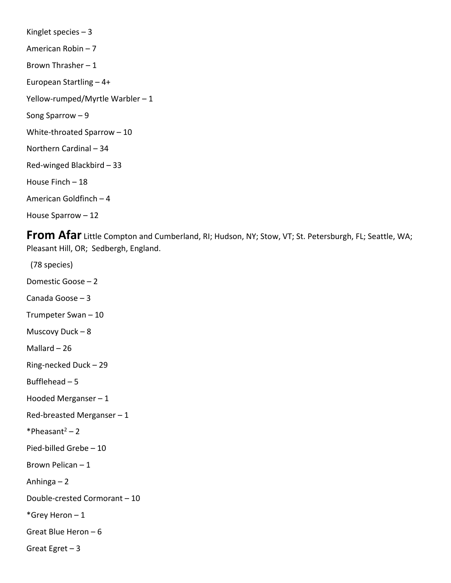Kinglet species – 3 American Robin – 7 Brown Thrasher – 1 European Startling – 4+ Yellow-rumped/Myrtle Warbler – 1 Song Sparrow – 9 White-throated Sparrow – 10 Northern Cardinal – 34 Red-winged Blackbird – 33 House Finch – 18 American Goldfinch – 4 House Sparrow – 12

**From Afar** Little Compton and Cumberland, RI; Hudson, NY; Stow, VT; St. Petersburgh, FL; Seattle, WA; Pleasant Hill, OR; Sedbergh, England.

 (78 species) Domestic Goose – 2 Canada Goose – 3 Trumpeter Swan – 10 Muscovy Duck – 8 Mallard – 26 Ring-necked Duck – 29 Bufflehead – 5 Hooded Merganser – 1 Red-breasted Merganser – 1  $*Pheasant<sup>2</sup> – 2$ Pied-billed Grebe – 10 Brown Pelican – 1 Anhinga – 2 Double-crested Cormorant – 10 \*Grey Heron – 1 Great Blue Heron – 6 Great Egret – 3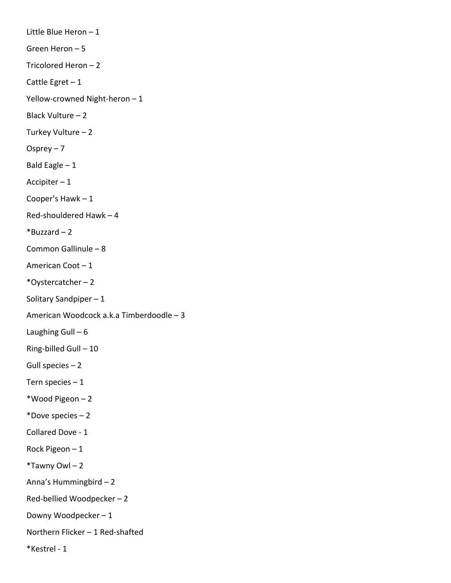Little Blue Heron – 1 Green Heron – 5 Tricolored Heron – 2 Cattle Egret  $-1$ Yellow-crowned Night-heron – 1 Black Vulture – 2 Turkey Vulture – 2 Osprey – 7 Bald Eagle – 1 Accipiter – 1 Cooper's Hawk – 1 Red-shouldered Hawk – 4  $*$ Buzzard – 2 Common Gallinule – 8 American Coot – 1 \*Oystercatcher – 2 Solitary Sandpiper – 1 American Woodcock a.k.a Timberdoodle – 3 Laughing Gull  $-6$ Ring-billed Gull – 10 Gull species – 2 Tern species  $-1$ \*Wood Pigeon – 2 \*Dove species – 2 Collared Dove - 1 Rock Pigeon – 1  $*$ Tawny Owl – 2 Anna's Hummingbird – 2 Red-bellied Woodpecker – 2 Downy Woodpecker – 1 Northern Flicker – 1 Red-shafted \*Kestrel - 1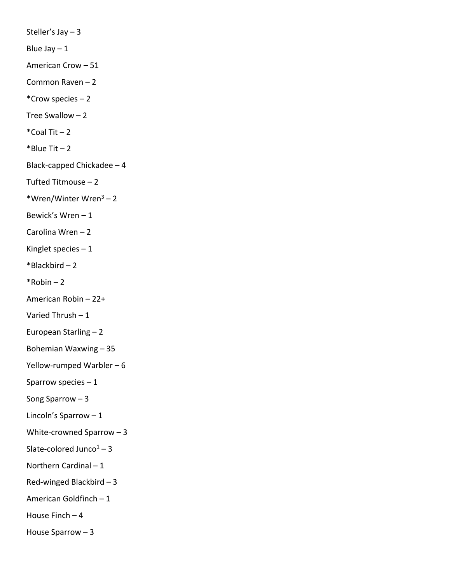Steller's Jay – 3 Blue Jay  $-1$ American Crow – 51 Common Raven – 2 \*Crow species – 2 Tree Swallow – 2  $*$ Coal Tit  $-2$  $*$ Blue Tit – 2 Black-capped Chickadee – 4 Tufted Titmouse – 2 \*Wren/Winter Wren3 – 2 Bewick's Wren – 1 Carolina Wren – 2 Kinglet species – 1  $*$ Blackbird – 2  $*$ Robin – 2 American Robin – 22+ Varied Thrush – 1 European Starling – 2 Bohemian Waxwing – 35 Yellow-rumped Warbler – 6 Sparrow species – 1 Song Sparrow – 3 Lincoln's Sparrow – 1 White-crowned Sparrow – 3 Slate-colored Junco $1 - 3$ Northern Cardinal – 1 Red-winged Blackbird – 3 American Goldfinch – 1 House Finch  $-4$ House Sparrow – 3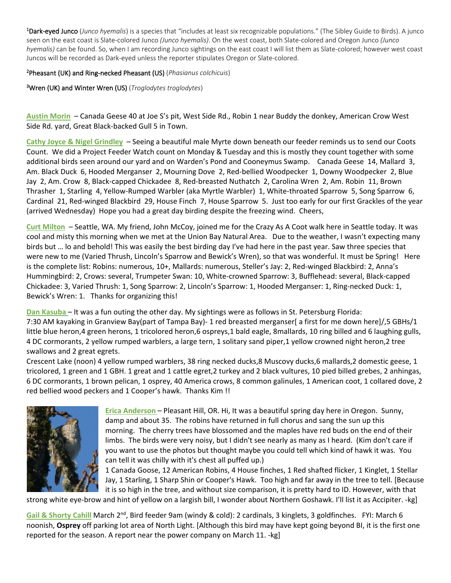1 Dark-eyed Junco (*Junco hyemalis*) is a species that "includes at least six recognizable populations." (The Sibley Guide to Birds). A junco seen on the east coast is Slate-colored Junco *(Junco hyemalis)*. On the west coast, both Slate-colored and Oregon Junco *(Junco hyemalis)* can be found. So, when I am recording Junco sightings on the east coast I will list them as Slate-colored; however west coast Juncos will be recorded as Dark-eyed unless the reporter stipulates Oregon or Slate-colored.

2 Pheasant (UK) and Ring-necked Pheasant (US) (*Phasianus colchicuis*)

3 Wren (UK) and Winter Wren (US) (*Troglodytes troglodytes*)

**Austin Morin** – Canada Geese 40 at Joe S's pit, West Side Rd., Robin 1 near Buddy the donkey, American Crow West Side Rd. yard, Great Black-backed Gull 5 in Town.

**Cathy Joyce & Nigel Grindley** – Seeing a beautiful male Myrte down beneath our feeder reminds us to send our Coots Count. We did a Project Feeder Watch count on Monday & Tuesday and this is mostly they count together with some additional birds seen around our yard and on Warden's Pond and Cooneymus Swamp. Canada Geese 14, Mallard 3, Am. Black Duck 6, Hooded Merganser 2, Mourning Dove 2, Red-bellied Woodpecker 1, Downy Woodpecker 2, Blue Jay 2, Am. Crow 8, Black-capped Chickadee 8, Red-breasted Nuthatch 2, Carolina Wren 2, Am. Robin 11, Brown Thrasher 1, Starling 4, Yellow-Rumped Warbler (aka Myrtle Warbler) 1, White-throated Sparrow 5, Song Sparrow 6, Cardinal 21, Red-winged Blackbird 29, House Finch 7, House Sparrow 5. Just too early for our first Grackles of the year (arrived Wednesday) Hope you had a great day birding despite the freezing wind. Cheers,

**Curt Milton** – Seattle, WA. My friend, John McCoy, joined me for the Crazy As A Coot walk here in Seattle today. It was cool and misty this morning when we met at the Union Bay Natural Area. Due to the weather, I wasn't expecting many birds but ... lo and behold! This was easily the best birding day I've had here in the past year. Saw three species that were new to me (Varied Thrush, Lincoln's Sparrow and Bewick's Wren), so that was wonderful. It must be Spring! Here is the complete list: Robins: numerous, 10+, Mallards: numerous, Steller's Jay: 2, Red-winged Blackbird: 2, Anna's Hummingbird: 2, Crows: several, Trumpeter Swan: 10, White-crowned Sparrow: 3, Bufflehead: several, Black-capped Chickadee: 3, Varied Thrush: 1, Song Sparrow: 2, Lincoln's Sparrow: 1, Hooded Merganser: 1, Ring-necked Duck: 1, Bewick's Wren: 1. Thanks for organizing this!

**Dan Kasuba** – It was a fun outing the other day. My sightings were as follows in St. Petersburg Florida:

7:30 AM kayaking in Granview Bay(part of Tampa Bay)- 1 red breasted merganser[ a first for me down here]/,5 GBHs/1 little blue heron,4 green herons, 1 tricolored heron,6 ospreys,1 bald eagle, 8mallards, 10 ring billed and 6 laughing gulls, 4 DC cormorants, 2 yellow rumped warblers, a large tern, 1 solitary sand piper,1 yellow crowned night heron,2 tree swallows and 2 great egrets.

Crescent Lake (noon) 4 yellow rumped warblers, 38 ring necked ducks,8 Muscovy ducks,6 mallards,2 domestic geese, 1 tricolored, 1 green and 1 GBH. 1 great and 1 cattle egret,2 turkey and 2 black vultures, 10 pied billed grebes, 2 anhingas, 6 DC cormorants, 1 brown pelican, 1 osprey, 40 America crows, 8 common galinules, 1 American coot, 1 collared dove, 2 red bellied wood peckers and 1 Cooper's hawk. Thanks Kim !!



**Erica Anderson** – Pleasant Hill, OR. Hi, It was a beautiful spring day here in Oregon. Sunny, damp and about 35. The robins have returned in full chorus and sang the sun up this morning. The cherry trees have blossomed and the maples have red buds on the end of their limbs. The birds were very noisy, but I didn't see nearly as many as I heard. (Kim don't care if you want to use the photos but thought maybe you could tell which kind of hawk it was. You can tell it was chilly with it's chest all puffed up.)

1 Canada Goose, 12 American Robins, 4 House finches, 1 Red shafted flicker, 1 Kinglet, 1 Stellar Jay, 1 Starling, 1 Sharp Shin or Cooper's Hawk. Too high and far away in the tree to tell. [Because it is so high in the tree, and without size comparison, it is pretty hard to ID. However, with that

strong white eye-brow and hint of yellow on a largish bill, I wonder about Northern Goshawk. I'll list it as Accipiter. -kg]

Gail & Shorty Cahill March 2<sup>nd</sup>, Bird feeder 9am (windy & cold): 2 cardinals, 3 kinglets, 3 goldfinches. FYI: March 6 noonish, **Osprey** off parking lot area of North Light. [Although this bird may have kept going beyond BI, it is the first one reported for the season. A report near the power company on March 11. -kg]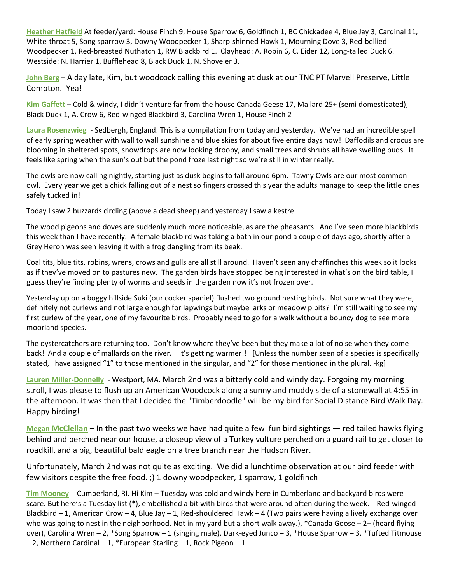**Heather Hatfield** At feeder/yard: House Finch 9, House Sparrow 6, Goldfinch 1, BC Chickadee 4, Blue Jay 3, Cardinal 11, White-throat 5, Song sparrow 3, Downy Woodpecker 1, Sharp-shinned Hawk 1, Mourning Dove 3, Red-bellied Woodpecker 1, Red-breasted Nuthatch 1, RW Blackbird 1. Clayhead: A. Robin 6, C. Eider 12, Long-tailed Duck 6. Westside: N. Harrier 1, Bufflehead 8, Black Duck 1, N. Shoveler 3.

**John Berg** – A day late, Kim, but woodcock calling this evening at dusk at our TNC PT Marvell Preserve, Little Compton. Yea!

**Kim Gaffett** – Cold & windy, I didn't venture far from the house Canada Geese 17, Mallard 25+ (semi domesticated), Black Duck 1, A. Crow 6, Red-winged Blackbird 3, Carolina Wren 1, House Finch 2

**Laura Rosenzwieg** - Sedbergh, England. This is a compilation from today and yesterday. We've had an incredible spell of early spring weather with wall to wall sunshine and blue skies for about five entire days now! Daffodils and crocus are blooming in sheltered spots, snowdrops are now looking droopy, and small trees and shrubs all have swelling buds. It feels like spring when the sun's out but the pond froze last night so we're still in winter really.

The owls are now calling nightly, starting just as dusk begins to fall around 6pm. Tawny Owls are our most common owl. Every year we get a chick falling out of a nest so fingers crossed this year the adults manage to keep the little ones safely tucked in!

Today I saw 2 buzzards circling (above a dead sheep) and yesterday I saw a kestrel.

The wood pigeons and doves are suddenly much more noticeable, as are the pheasants. And I've seen more blackbirds this week than I have recently. A female blackbird was taking a bath in our pond a couple of days ago, shortly after a Grey Heron was seen leaving it with a frog dangling from its beak.

Coal tits, blue tits, robins, wrens, crows and gulls are all still around. Haven't seen any chaffinches this week so it looks as if they've moved on to pastures new. The garden birds have stopped being interested in what's on the bird table, I guess they're finding plenty of worms and seeds in the garden now it's not frozen over.

Yesterday up on a boggy hillside Suki (our cocker spaniel) flushed two ground nesting birds. Not sure what they were, definitely not curlews and not large enough for lapwings but maybe larks or meadow pipits? I'm still waiting to see my first curlew of the year, one of my favourite birds. Probably need to go for a walk without a bouncy dog to see more moorland species.

The oystercatchers are returning too. Don't know where they've been but they make a lot of noise when they come back! And a couple of mallards on the river. It's getting warmer!! [Unless the number seen of a species is specifically stated, I have assigned "1" to those mentioned in the singular, and "2" for those mentioned in the plural. -kg]

**Lauren Miller-Donnelly** - Westport, MA. March 2nd was a bitterly cold and windy day. Forgoing my morning stroll, I was please to flush up an American Woodcock along a sunny and muddy side of a stonewall at 4:55 in the afternoon. It was then that I decided the "Timberdoodle" will be my bird for Social Distance Bird Walk Day. Happy birding!

**Megan McClellan** – In the past two weeks we have had quite a few fun bird sightings — red tailed hawks flying behind and perched near our house, a closeup view of a Turkey vulture perched on a guard rail to get closer to roadkill, and a big, beautiful bald eagle on a tree branch near the Hudson River.

Unfortunately, March 2nd was not quite as exciting. We did a lunchtime observation at our bird feeder with few visitors despite the free food. ;) 1 downy woodpecker, 1 sparrow, 1 goldfinch

**Tim Mooney** - Cumberland, RI. Hi Kim – Tuesday was cold and windy here in Cumberland and backyard birds were scare. But here's a Tuesday list (\*), embellished a bit with birds that were around often during the week. Red-winged Blackbird – 1, American Crow – 4, Blue Jay – 1, Red-shouldered Hawk – 4 (Two pairs were having a lively exchange over who was going to nest in the neighborhood. Not in my yard but a short walk away.), \*Canada Goose  $-2+$  (heard flying over), Carolina Wren – 2, \*Song Sparrow – 1 (singing male), Dark-eyed Junco – 3, \*House Sparrow – 3, \*Tufted Titmouse  $-$  2, Northern Cardinal  $-$  1, \*European Starling  $-$  1, Rock Pigeon  $-$  1